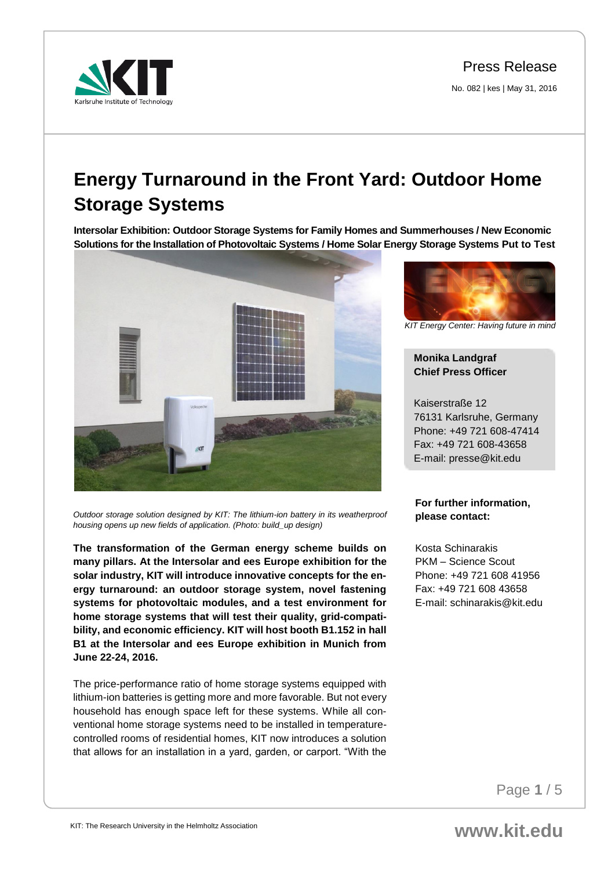Press Release

No. 082 | kes | May 31, 2016



# **Energy Turnaround in the Front Yard: Outdoor Home Storage Systems**

**Intersolar Exhibition: Outdoor Storage Systems for Family Homes and Summerhouses / New Economic Solutions for the Installation of Photovoltaic Systems / Home Solar Energy Storage Systems Put to Test**



*Outdoor storage solution designed by KIT: The lithium-ion battery in its weatherproof housing opens up new fields of application. (Photo: build\_up design)* 

**The transformation of the German energy scheme builds on many pillars. At the Intersolar and ees Europe exhibition for the solar industry, KIT will introduce innovative concepts for the energy turnaround: an outdoor storage system, novel fastening systems for photovoltaic modules, and a test environment for home storage systems that will test their quality, grid-compatibility, and economic efficiency. KIT will host booth B1.152 in hall B1 at the Intersolar and ees Europe exhibition in Munich from June 22-24, 2016.** 

The price-performance ratio of home storage systems equipped with lithium-ion batteries is getting more and more favorable. But not every household has enough space left for these systems. While all conventional home storage systems need to be installed in temperaturecontrolled rooms of residential homes, KIT now introduces a solution that allows for an installation in a yard, garden, or carport. "With the



*KIT Energy Center: Having future in mind*

## **Monika Landgraf Chief Press Officer**

Kaiserstraße 12 76131 Karlsruhe, Germany Phone: +49 721 608-47414 Fax: +49 721 608-43658 E-mail: presse@kit.edu

## **For further information, please contact:**

Kosta Schinarakis PKM – Science Scout Phone: +49 721 608 41956 Fax: +49 721 608 43658 E-mail: schinarakis@kit.edu

Page **1** / 5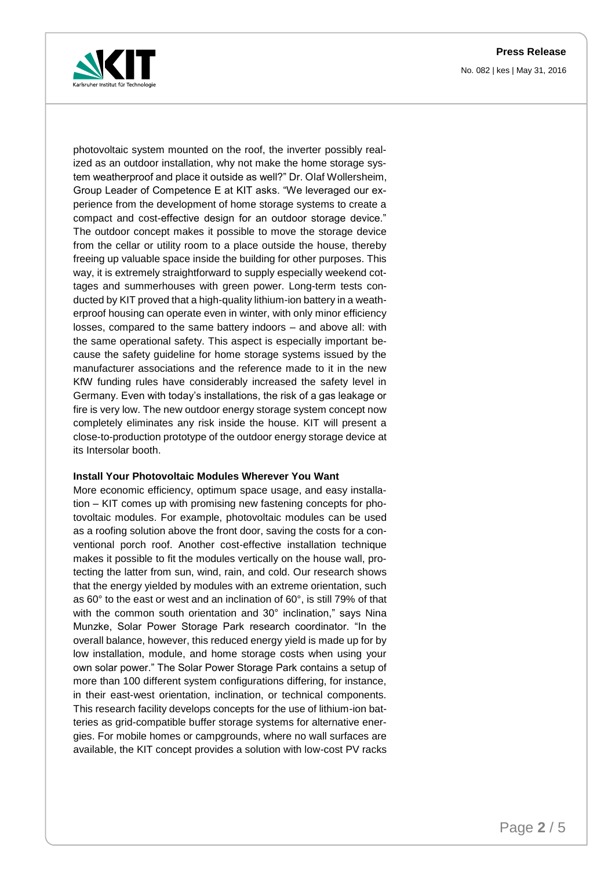**Press Release**



No. 082 | kes | May 31, 2016

photovoltaic system mounted on the roof, the inverter possibly realized as an outdoor installation, why not make the home storage system weatherproof and place it outside as well?" Dr. Olaf Wollersheim, Group Leader of Competence E at KIT asks. "We leveraged our experience from the development of home storage systems to create a compact and cost-effective design for an outdoor storage device." The outdoor concept makes it possible to move the storage device from the cellar or utility room to a place outside the house, thereby freeing up valuable space inside the building for other purposes. This way, it is extremely straightforward to supply especially weekend cottages and summerhouses with green power. Long-term tests conducted by KIT proved that a high-quality lithium-ion battery in a weatherproof housing can operate even in winter, with only minor efficiency losses, compared to the same battery indoors – and above all: with the same operational safety. This aspect is especially important because the safety guideline for home storage systems issued by the manufacturer associations and the reference made to it in the new KfW funding rules have considerably increased the safety level in Germany. Even with today's installations, the risk of a gas leakage or fire is very low. The new outdoor energy storage system concept now completely eliminates any risk inside the house. KIT will present a close-to-production prototype of the outdoor energy storage device at its Intersolar booth.

#### **Install Your Photovoltaic Modules Wherever You Want**

More economic efficiency, optimum space usage, and easy installation – KIT comes up with promising new fastening concepts for photovoltaic modules. For example, photovoltaic modules can be used as a roofing solution above the front door, saving the costs for a conventional porch roof. Another cost-effective installation technique makes it possible to fit the modules vertically on the house wall, protecting the latter from sun, wind, rain, and cold. Our research shows that the energy yielded by modules with an extreme orientation, such as 60° to the east or west and an inclination of 60°, is still 79% of that with the common south orientation and 30° inclination," says Nina Munzke, Solar Power Storage Park research coordinator. "In the overall balance, however, this reduced energy yield is made up for by low installation, module, and home storage costs when using your own solar power." The Solar Power Storage Park contains a setup of more than 100 different system configurations differing, for instance, in their east-west orientation, inclination, or technical components. This research facility develops concepts for the use of lithium-ion batteries as grid-compatible buffer storage systems for alternative energies. For mobile homes or campgrounds, where no wall surfaces are available, the KIT concept provides a solution with low-cost PV racks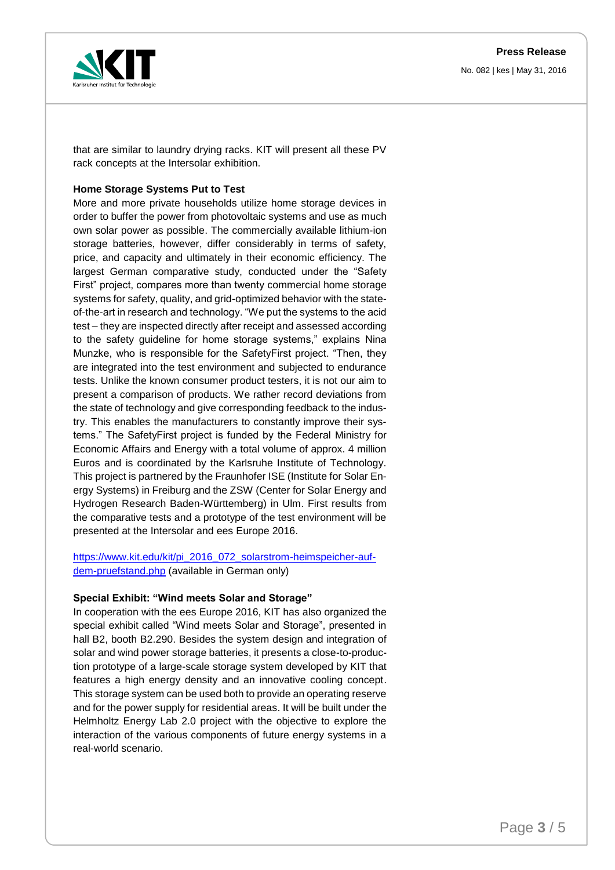

No. 082 | kes | May 31, 2016

that are similar to laundry drying racks. KIT will present all these PV rack concepts at the Intersolar exhibition.

### **Home Storage Systems Put to Test**

More and more private households utilize home storage devices in order to buffer the power from photovoltaic systems and use as much own solar power as possible. The commercially available lithium-ion storage batteries, however, differ considerably in terms of safety, price, and capacity and ultimately in their economic efficiency. The largest German comparative study, conducted under the "Safety First" project, compares more than twenty commercial home storage systems for safety, quality, and grid-optimized behavior with the stateof-the-art in research and technology. "We put the systems to the acid test – they are inspected directly after receipt and assessed according to the safety guideline for home storage systems," explains Nina Munzke, who is responsible for the SafetyFirst project. "Then, they are integrated into the test environment and subjected to endurance tests. Unlike the known consumer product testers, it is not our aim to present a comparison of products. We rather record deviations from the state of technology and give corresponding feedback to the industry. This enables the manufacturers to constantly improve their systems." The SafetyFirst project is funded by the Federal Ministry for Economic Affairs and Energy with a total volume of approx. 4 million Euros and is coordinated by the Karlsruhe Institute of Technology. This project is partnered by the Fraunhofer ISE (Institute for Solar Energy Systems) in Freiburg and the ZSW (Center for Solar Energy and Hydrogen Research Baden-Württemberg) in Ulm. First results from the comparative tests and a prototype of the test environment will be presented at the Intersolar and ees Europe 2016.

[https://www.kit.edu/kit/pi\\_2016\\_072\\_solarstrom-heimspeicher-auf](https://www.kit.edu/kit/pi_2016_072_solarstrom-heimspeicher-auf-dem-pruefstand.php)[dem-pruefstand.php](https://www.kit.edu/kit/pi_2016_072_solarstrom-heimspeicher-auf-dem-pruefstand.php) (available in German only)

#### **Special Exhibit: "Wind meets Solar and Storage"**

In cooperation with the ees Europe 2016, KIT has also organized the special exhibit called "Wind meets Solar and Storage", presented in hall B2, booth B2.290. Besides the system design and integration of solar and wind power storage batteries, it presents a close-to-production prototype of a large-scale storage system developed by KIT that features a high energy density and an innovative cooling concept. This storage system can be used both to provide an operating reserve and for the power supply for residential areas. It will be built under the Helmholtz Energy Lab 2.0 project with the objective to explore the interaction of the various components of future energy systems in a real-world scenario.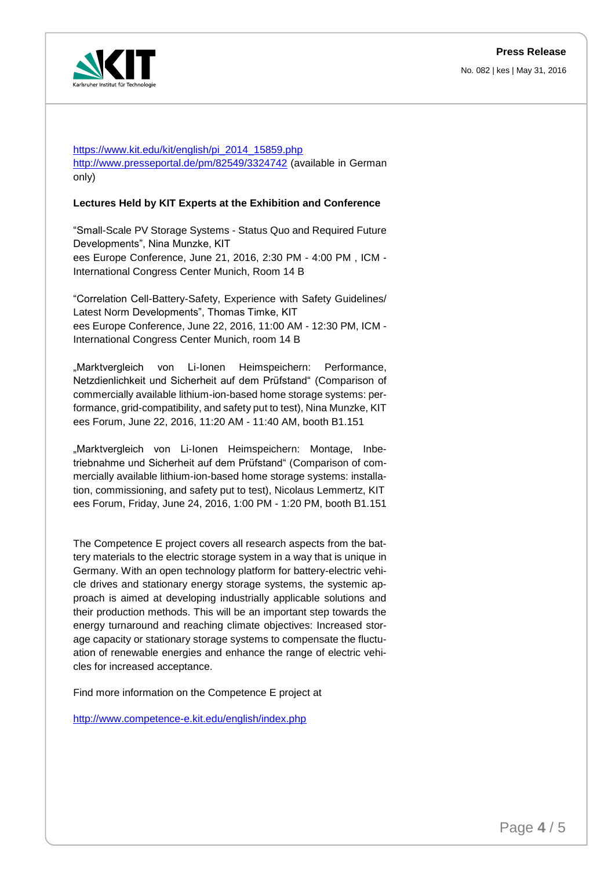### **Press Release**

No. 082 | kes | May 31, 2016



[https://www.kit.edu/kit/english/pi\\_2014\\_15859.php](https://www.kit.edu/kit/english/pi_2014_15859.php) <http://www.presseportal.de/pm/82549/3324742> (available in German only)

#### **Lectures Held by KIT Experts at the Exhibition and Conference**

"Small-Scale PV Storage Systems - Status Quo and Required Future Developments", Nina Munzke, KIT ees Europe Conference, June 21, 2016, 2:30 PM - 4:00 PM , ICM - International Congress Center Munich, Room 14 B

"Correlation Cell-Battery-Safety, Experience with Safety Guidelines/ Latest Norm Developments", Thomas Timke, KIT ees Europe Conference, June 22, 2016, 11:00 AM - 12:30 PM, ICM - International Congress Center Munich, room 14 B

"Marktvergleich von Li-Ionen Heimspeichern: Performance, Netzdienlichkeit und Sicherheit auf dem Prüfstand" (Comparison of commercially available lithium-ion-based home storage systems: performance, grid-compatibility, and safety put to test), Nina Munzke, KIT ees Forum, June 22, 2016, 11:20 AM - 11:40 AM, booth B1.151

"Marktvergleich von Li-Ionen Heimspeichern: Montage, Inbetriebnahme und Sicherheit auf dem Prüfstand" (Comparison of commercially available lithium-ion-based home storage systems: installation, commissioning, and safety put to test), Nicolaus Lemmertz, KIT ees Forum, Friday, June 24, 2016, 1:00 PM - 1:20 PM, booth B1.151

The Competence E project covers all research aspects from the battery materials to the electric storage system in a way that is unique in Germany. With an open technology platform for battery-electric vehicle drives and stationary energy storage systems, the systemic approach is aimed at developing industrially applicable solutions and their production methods. This will be an important step towards the energy turnaround and reaching climate objectives: Increased storage capacity or stationary storage systems to compensate the fluctuation of renewable energies and enhance the range of electric vehicles for increased acceptance.

Find more information on the Competence E project at

<http://www.competence-e.kit.edu/english/index.php>